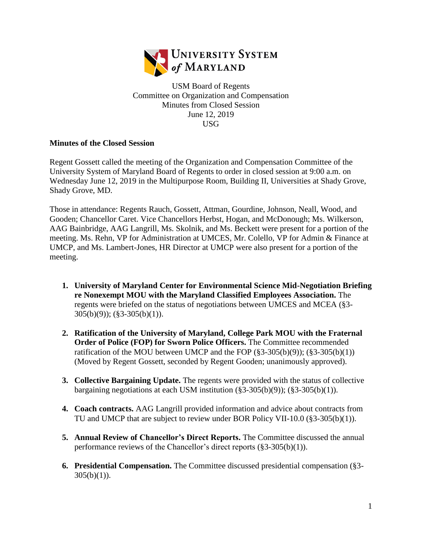

USM Board of Regents Committee on Organization and Compensation Minutes from Closed Session June 12, 2019 USG

## **Minutes of the Closed Session**

Regent Gossett called the meeting of the Organization and Compensation Committee of the University System of Maryland Board of Regents to order in closed session at 9:00 a.m. on Wednesday June 12, 2019 in the Multipurpose Room, Building II, Universities at Shady Grove, Shady Grove, MD.

Those in attendance: Regents Rauch, Gossett, Attman, Gourdine, Johnson, Neall, Wood, and Gooden; Chancellor Caret. Vice Chancellors Herbst, Hogan, and McDonough; Ms. Wilkerson, AAG Bainbridge, AAG Langrill, Ms. Skolnik, and Ms. Beckett were present for a portion of the meeting. Ms. Rehn, VP for Administration at UMCES, Mr. Colello, VP for Admin & Finance at UMCP, and Ms. Lambert-Jones, HR Director at UMCP were also present for a portion of the meeting.

- **1. University of Maryland Center for Environmental Science Mid-Negotiation Briefing re Nonexempt MOU with the Maryland Classified Employees Association.** The regents were briefed on the status of negotiations between UMCES and MCEA (§3- 305(b)(9)); (§3-305(b)(1)).
- **2. Ratification of the University of Maryland, College Park MOU with the Fraternal Order of Police (FOP) for Sworn Police Officers.** The Committee recommended ratification of the MOU between UMCP and the FOP  $(\S 3 - 305(b)(9))$ ;  $(\S 3 - 305(b)(1))$ (Moved by Regent Gossett, seconded by Regent Gooden; unanimously approved).
- **3. Collective Bargaining Update.** The regents were provided with the status of collective bargaining negotiations at each USM institution  $(\S 3 - 305(b)(9))$ ;  $(\S 3 - 305(b)(1))$ .
- **4. Coach contracts.** AAG Langrill provided information and advice about contracts from TU and UMCP that are subject to review under BOR Policy VII-10.0 (§3-305(b)(1)).
- **5. Annual Review of Chancellor's Direct Reports.** The Committee discussed the annual performance reviews of the Chancellor's direct reports (§3-305(b)(1)).
- **6. Presidential Compensation.** The Committee discussed presidential compensation (§3-  $305(b)(1)$ ).